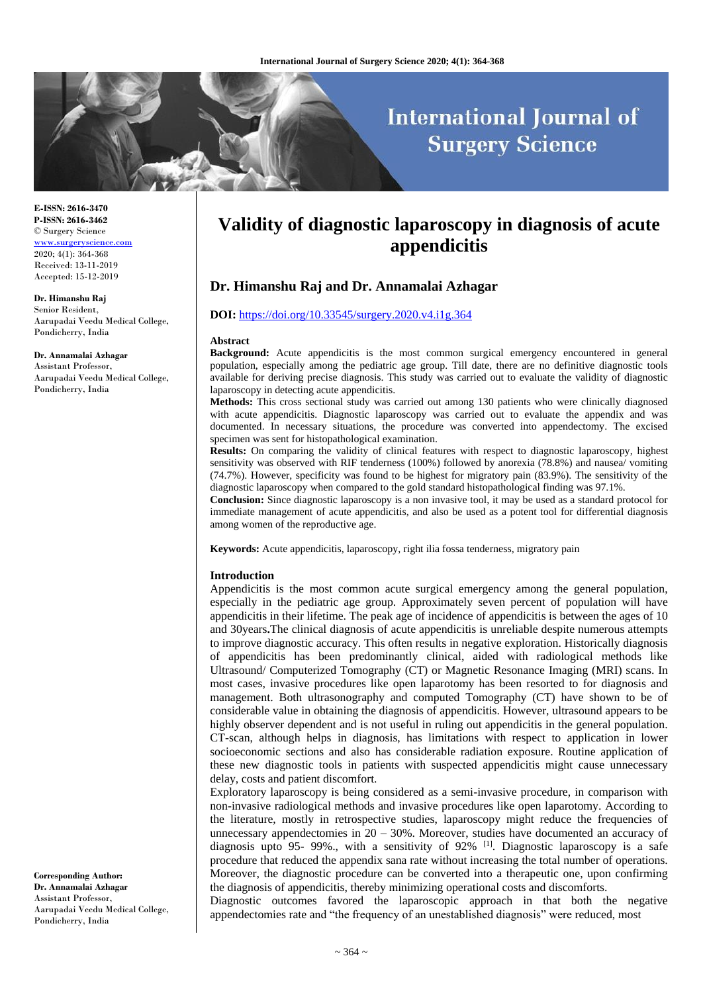# **International Journal of Surgery Science**

**E-ISSN: 2616-3470 P-ISSN: 2616-3462** © Surgery Science <www.surgeryscience.com> 2020; 4(1): 364-368 Received: 13-11-2019 Accepted: 15-12-2019

**Dr. Himanshu Raj**

Senior Resident, Aarupadai Veedu Medical College, Pondicherry, India

**Dr. Annamalai Azhagar**

Assistant Professor, Aarupadai Veedu Medical College, Pondicherry, India

**Corresponding Author: Dr. Annamalai Azhagar** Assistant Professor, Aarupadai Veedu Medical College, Pondicherry, India

# **Validity of diagnostic laparoscopy in diagnosis of acute appendicitis**

# **Dr. Himanshu Raj and Dr. Annamalai Azhagar**

#### **DOI:** <https://doi.org/10.33545/surgery.2020.v4.i1g.364>

#### **Abstract**

**Background:** Acute appendicitis is the most common surgical emergency encountered in general population, especially among the pediatric age group. Till date, there are no definitive diagnostic tools available for deriving precise diagnosis. This study was carried out to evaluate the validity of diagnostic laparoscopy in detecting acute appendicitis.

**Methods:** This cross sectional study was carried out among 130 patients who were clinically diagnosed with acute appendicitis. Diagnostic laparoscopy was carried out to evaluate the appendix and was documented. In necessary situations, the procedure was converted into appendectomy. The excised specimen was sent for histopathological examination.

**Results:** On comparing the validity of clinical features with respect to diagnostic laparoscopy, highest sensitivity was observed with RIF tenderness (100%) followed by anorexia (78.8%) and nausea/ vomiting (74.7%). However, specificity was found to be highest for migratory pain (83.9%). The sensitivity of the diagnostic laparoscopy when compared to the gold standard histopathological finding was 97.1%.

**Conclusion:** Since diagnostic laparoscopy is a non invasive tool, it may be used as a standard protocol for immediate management of acute appendicitis, and also be used as a potent tool for differential diagnosis among women of the reproductive age.

**Keywords:** Acute appendicitis, laparoscopy, right ilia fossa tenderness, migratory pain

#### **Introduction**

Appendicitis is the most common acute surgical emergency among the general population, especially in the pediatric age group. Approximately seven percent of population will have appendicitis in their lifetime. The peak age of incidence of appendicitis is between the ages of 10 and 30years**.**The clinical diagnosis of acute appendicitis is unreliable despite numerous attempts to improve diagnostic accuracy. This often results in negative exploration. Historically diagnosis of appendicitis has been predominantly clinical, aided with radiological methods like Ultrasound/ Computerized Tomography (CT) or Magnetic Resonance Imaging (MRI) scans. In most cases, invasive procedures like open laparotomy has been resorted to for diagnosis and management. Both ultrasonography and computed Tomography (CT) have shown to be of considerable value in obtaining the diagnosis of appendicitis. However, ultrasound appears to be highly observer dependent and is not useful in ruling out appendicitis in the general population. CT-scan, although helps in diagnosis, has limitations with respect to application in lower socioeconomic sections and also has considerable radiation exposure. Routine application of these new diagnostic tools in patients with suspected appendicitis might cause unnecessary delay, costs and patient discomfort.

Exploratory laparoscopy is being considered as a semi-invasive procedure, in comparison with non-invasive radiological methods and invasive procedures like open laparotomy. According to the literature, mostly in retrospective studies, laparoscopy might reduce the frequencies of unnecessary appendectomies in  $20 - 30$ %. Moreover, studies have documented an accuracy of diagnosis upto 95- 99%., with a sensitivity of 92% <sup>[1]</sup>. Diagnostic laparoscopy is a safe procedure that reduced the appendix sana rate without increasing the total number of operations. Moreover, the diagnostic procedure can be converted into a therapeutic one, upon confirming the diagnosis of appendicitis, thereby minimizing operational costs and discomforts.

Diagnostic outcomes favored the laparoscopic approach in that both the negative appendectomies rate and "the frequency of an unestablished diagnosis" were reduced, most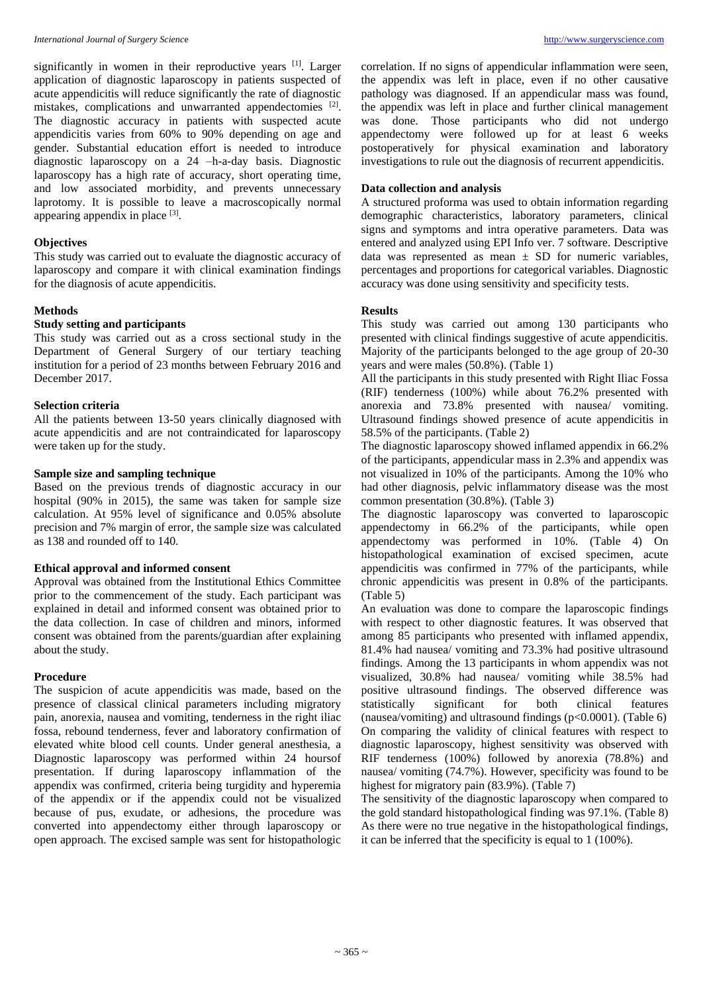#### *International Journal of Surgery Scienc*e [http://www.surgeryscience.com](http://www.surgeryscience.com/)

significantly in women in their reproductive years [1]. Larger application of diagnostic laparoscopy in patients suspected of acute appendicitis will reduce significantly the rate of diagnostic mistakes, complications and unwarranted appendectomies [2]. The diagnostic accuracy in patients with suspected acute appendicitis varies from 60% to 90% depending on age and gender. Substantial education effort is needed to introduce diagnostic laparoscopy on a 24 –h-a-day basis. Diagnostic laparoscopy has a high rate of accuracy, short operating time, and low associated morbidity, and prevents unnecessary laprotomy. It is possible to leave a macroscopically normal appearing appendix in place [3].

### **Objectives**

This study was carried out to evaluate the diagnostic accuracy of laparoscopy and compare it with clinical examination findings for the diagnosis of acute appendicitis.

#### **Methods**

#### **Study setting and participants**

This study was carried out as a cross sectional study in the Department of General Surgery of our tertiary teaching institution for a period of 23 months between February 2016 and December 2017.

#### **Selection criteria**

All the patients between 13-50 years clinically diagnosed with acute appendicitis and are not contraindicated for laparoscopy were taken up for the study.

### **Sample size and sampling technique**

Based on the previous trends of diagnostic accuracy in our hospital (90% in 2015), the same was taken for sample size calculation. At 95% level of significance and 0.05% absolute precision and 7% margin of error, the sample size was calculated as 138 and rounded off to 140.

#### **Ethical approval and informed consent**

Approval was obtained from the Institutional Ethics Committee prior to the commencement of the study. Each participant was explained in detail and informed consent was obtained prior to the data collection. In case of children and minors, informed consent was obtained from the parents/guardian after explaining about the study.

#### **Procedure**

The suspicion of acute appendicitis was made, based on the presence of classical clinical parameters including migratory pain, anorexia, nausea and vomiting, tenderness in the right iliac fossa, rebound tenderness, fever and laboratory confirmation of elevated white blood cell counts. Under general anesthesia, a Diagnostic laparoscopy was performed within 24 hoursof presentation. If during laparoscopy inflammation of the appendix was confirmed, criteria being turgidity and hyperemia of the appendix or if the appendix could not be visualized because of pus, exudate, or adhesions, the procedure was converted into appendectomy either through laparoscopy or open approach. The excised sample was sent for histopathologic

correlation. If no signs of appendicular inflammation were seen, the appendix was left in place, even if no other causative pathology was diagnosed. If an appendicular mass was found, the appendix was left in place and further clinical management was done. Those participants who did not undergo appendectomy were followed up for at least 6 weeks postoperatively for physical examination and laboratory investigations to rule out the diagnosis of recurrent appendicitis.

### **Data collection and analysis**

A structured proforma was used to obtain information regarding demographic characteristics, laboratory parameters, clinical signs and symptoms and intra operative parameters. Data was entered and analyzed using EPI Info ver. 7 software. Descriptive data was represented as mean  $\pm$  SD for numeric variables, percentages and proportions for categorical variables. Diagnostic accuracy was done using sensitivity and specificity tests.

#### **Results**

This study was carried out among 130 participants who presented with clinical findings suggestive of acute appendicitis. Majority of the participants belonged to the age group of 20-30 years and were males (50.8%). (Table 1)

All the participants in this study presented with Right Iliac Fossa (RIF) tenderness (100%) while about 76.2% presented with anorexia and 73.8% presented with nausea/ vomiting. Ultrasound findings showed presence of acute appendicitis in 58.5% of the participants. (Table 2)

The diagnostic laparoscopy showed inflamed appendix in 66.2% of the participants, appendicular mass in 2.3% and appendix was not visualized in 10% of the participants. Among the 10% who had other diagnosis, pelvic inflammatory disease was the most common presentation (30.8%). (Table 3)

The diagnostic laparoscopy was converted to laparoscopic appendectomy in 66.2% of the participants, while open appendectomy was performed in 10%. (Table 4) On histopathological examination of excised specimen, acute appendicitis was confirmed in 77% of the participants, while chronic appendicitis was present in 0.8% of the participants. (Table 5)

An evaluation was done to compare the laparoscopic findings with respect to other diagnostic features. It was observed that among 85 participants who presented with inflamed appendix, 81.4% had nausea/ vomiting and 73.3% had positive ultrasound findings. Among the 13 participants in whom appendix was not visualized, 30.8% had nausea/ vomiting while 38.5% had positive ultrasound findings. The observed difference was statistically significant for both clinical features (nausea/vomiting) and ultrasound findings ( $p<0.0001$ ). (Table 6) On comparing the validity of clinical features with respect to diagnostic laparoscopy, highest sensitivity was observed with RIF tenderness (100%) followed by anorexia (78.8%) and nausea/ vomiting (74.7%). However, specificity was found to be highest for migratory pain (83.9%). (Table 7)

The sensitivity of the diagnostic laparoscopy when compared to the gold standard histopathological finding was 97.1%. (Table 8) As there were no true negative in the histopathological findings, it can be inferred that the specificity is equal to 1 (100%).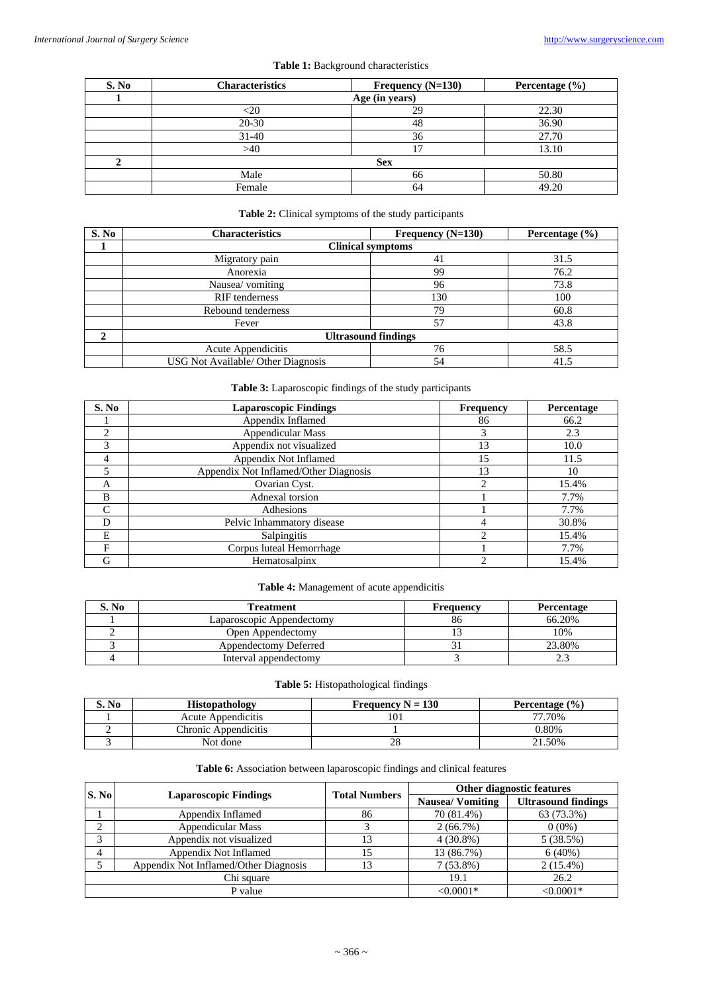| S. No | <b>Characteristics</b> | Frequency $(N=130)$ | Percentage $(\% )$ |
|-------|------------------------|---------------------|--------------------|
|       |                        | Age (in years)      |                    |
|       |                        | 29                  | 22.30              |
|       | $20-30$                | 48                  | 36.90              |
|       | $31 - 40$              | 36                  | 27.70              |
|       | >40                    | 17                  | 13.10              |
|       |                        | <b>Sex</b>          |                    |
|       | Male                   | 66                  | 50.80              |
|       | Female                 | 64                  | 49.20              |

### **Table 1:** Background characteristics

# **Table 2:** Clinical symptoms of the study participants

| S. No        | <b>Characteristics</b>             | Frequency $(N=130)$        |      |
|--------------|------------------------------------|----------------------------|------|
|              |                                    | <b>Clinical symptoms</b>   |      |
|              | Migratory pain                     | 41                         | 31.5 |
|              | Anorexia                           | 99                         | 76.2 |
|              | Nausea/ vomiting                   | 96                         | 73.8 |
|              | RIF tenderness                     | 130                        | 100  |
|              | Rebound tenderness                 | 79                         | 60.8 |
|              | Fever                              | 57                         | 43.8 |
| $\mathbf{2}$ |                                    | <b>Ultrasound findings</b> |      |
|              | Acute Appendicitis                 | 76                         | 58.5 |
|              | USG Not Available/ Other Diagnosis | 54                         | 41.5 |

# **Table 3:** Laparoscopic findings of the study participants

| S. No | <b>Laparoscopic Findings</b>          | <b>Frequency</b> | Percentage |
|-------|---------------------------------------|------------------|------------|
|       | Appendix Inflamed                     | 86               | 66.2       |
| ◠     | Appendicular Mass                     |                  | 2.3        |
| 3     | Appendix not visualized               | 13               | 10.0       |
| 4     | Appendix Not Inflamed                 | 15               | 11.5       |
|       | Appendix Not Inflamed/Other Diagnosis | 13               | 10         |
| A     | Ovarian Cyst.                         | $\mathfrak{D}$   | 15.4%      |
| B     | Adnexal torsion                       |                  | 7.7%       |
|       | Adhesions                             |                  | 7.7%       |
| D     | Pelvic Inhammatory disease            | 4                | 30.8%      |
| E     | Salpingitis                           | ↑                | 15.4%      |
| F     | Corpus luteal Hemorrhage              |                  | 7.7%       |
| G     | Hematosalpinx                         | $\mathfrak{D}$   | 15.4%      |

# **Table 4:** Management of acute appendicitis

| S. No | Treatment                 | Frequency | Percentage |
|-------|---------------------------|-----------|------------|
|       | Laparoscopic Appendectomy | 86        | 66.20%     |
|       | Open Appendectomy         |           | 10%        |
|       | Appendectomy Deferred     |           | 23.80%     |
|       | Interval appendectomy     |           | <u>.</u>   |

### **Table 5:** Histopathological findings

| S. No | <b>Histopathology</b>     | Frequency $N = 130$ | Percentage $(\% )$ |
|-------|---------------------------|---------------------|--------------------|
|       | <b>Acute Appendicitis</b> |                     | 77.70%             |
|       | Chronic Appendicitis      |                     | 0.80%              |
|       | Not done                  |                     | 21.50%             |

# **Table 6:** Association between laparoscopic findings and clinical features

| S. No                                 |                              | <b>Total Numbers</b> | Other diagnostic features |                            |  |
|---------------------------------------|------------------------------|----------------------|---------------------------|----------------------------|--|
|                                       | <b>Laparoscopic Findings</b> |                      | <b>Nausea/Vomiting</b>    | <b>Ultrasound findings</b> |  |
|                                       | Appendix Inflamed            | 86                   | 70 (81.4%)                | 63 (73.3%)                 |  |
| ↑                                     | <b>Appendicular Mass</b>     |                      | $2(66.7\%)$               | $0(0\%)$                   |  |
| 3                                     | Appendix not visualized      |                      | $4(30.8\%)$               | 5(38.5%)                   |  |
| 4                                     | Appendix Not Inflamed        | 15                   | 13 (86.7%)                | 6(40%)                     |  |
| Appendix Not Inflamed/Other Diagnosis |                              | 13                   | $7(53.8\%)$               | $2(15.4\%)$                |  |
|                                       | Chi square                   |                      | 19.1                      | 26.2                       |  |
|                                       | P value                      |                      | $< 0.0001*$               | $< 0.0001*$                |  |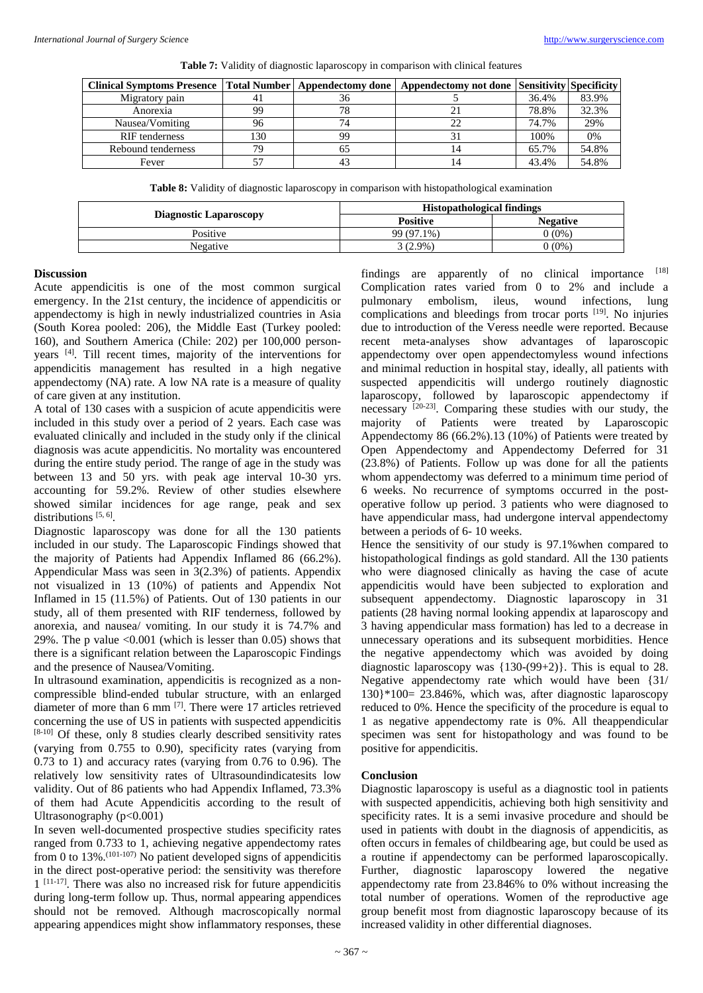|  |  |  | Table 7: Validity of diagnostic laparoscopy in comparison with clinical features |  |
|--|--|--|----------------------------------------------------------------------------------|--|
|  |  |  |                                                                                  |  |
|  |  |  |                                                                                  |  |

| Clinical Symptoms Presence   Total Number   Appendectomy done   Appendectomy not done   Sensitivity   Specificity |     |    |       |       |
|-------------------------------------------------------------------------------------------------------------------|-----|----|-------|-------|
| Migratory pain                                                                                                    |     | 36 | 36.4% | 83.9% |
| Anorexia                                                                                                          | 99  | 78 | 78.8% | 32.3% |
| Nausea/Vomiting                                                                                                   | 96  | 74 | 74.7% | 29%   |
| <b>RIF</b> tenderness                                                                                             | 130 | 99 | 100%  | 0%    |
| Rebound tenderness                                                                                                | 79  | OD | 65.7% | 54.8% |
| Fever                                                                                                             | 57  | 43 | 43.4% | 54.8% |

**Table 8:** Validity of diagnostic laparoscopy in comparison with histopathological examination

|                               | <b>Histopathological findings</b> |                 |  |
|-------------------------------|-----------------------------------|-----------------|--|
| <b>Diagnostic Laparoscopy</b> | <b>Positive</b>                   | <b>Negative</b> |  |
| Positive                      | 99 (97.1%)                        | $0(0\%)$        |  |
| Negative                      | $3(2.9\%)$                        | 0 (0%)          |  |

#### **Discussion**

Acute appendicitis is one of the most common surgical emergency. In the 21st century, the incidence of appendicitis or appendectomy is high in newly industrialized countries in Asia (South Korea pooled: 206), the Middle East (Turkey pooled: 160), and Southern America (Chile: 202) per 100,000 personyears [4] . Till recent times, majority of the interventions for appendicitis management has resulted in a high negative appendectomy (NA) rate. A low NA rate is a measure of quality of care given at any institution.

A total of 130 cases with a suspicion of acute appendicitis were included in this study over a period of 2 years. Each case was evaluated clinically and included in the study only if the clinical diagnosis was acute appendicitis. No mortality was encountered during the entire study period. The range of age in the study was between 13 and 50 yrs. with peak age interval 10-30 yrs. accounting for 59.2%. Review of other studies elsewhere showed similar incidences for age range, peak and sex distributions [5, 6].

Diagnostic laparoscopy was done for all the 130 patients included in our study. The Laparoscopic Findings showed that the majority of Patients had Appendix Inflamed 86 (66.2%). Appendicular Mass was seen in 3(2.3%) of patients. Appendix not visualized in 13 (10%) of patients and Appendix Not Inflamed in 15 (11.5%) of Patients. Out of 130 patients in our study, all of them presented with RIF tenderness, followed by anorexia, and nausea/ vomiting. In our study it is 74.7% and 29%. The p value  $\langle 0.001 \rangle$  (which is lesser than 0.05) shows that there is a significant relation between the Laparoscopic Findings and the presence of Nausea/Vomiting.

In ultrasound examination, appendicitis is recognized as a noncompressible blind-ended tubular structure, with an enlarged diameter of more than 6 mm [7] . There were 17 articles retrieved concerning the use of US in patients with suspected appendicitis [8-10] Of these, only 8 studies clearly described sensitivity rates (varying from 0.755 to 0.90), specificity rates (varying from 0.73 to 1) and accuracy rates (varying from 0.76 to 0.96). The relatively low sensitivity rates of Ultrasoundindicatesits low validity. Out of 86 patients who had Appendix Inflamed, 73.3% of them had Acute Appendicitis according to the result of Ultrasonography (p<0.001)

In seven well-documented prospective studies specificity rates ranged from 0.733 to 1, achieving negative appendectomy rates from 0 to  $13\%$ .<sup>(101-107)</sup> No patient developed signs of appendicitis in the direct post-operative period: the sensitivity was therefore 1 [11-17] . There was also no increased risk for future appendicitis during long-term follow up. Thus, normal appearing appendices should not be removed. Although macroscopically normal appearing appendices might show inflammatory responses, these

findings are apparently of no clinical importance [18] Complication rates varied from 0 to 2% and include a pulmonary embolism, ileus, wound infections, lung complications and bleedings from trocar ports [19]. No injuries due to introduction of the Veress needle were reported. Because recent meta-analyses show advantages of laparoscopic appendectomy over open appendectomyless wound infections and minimal reduction in hospital stay, ideally, all patients with suspected appendicitis will undergo routinely diagnostic laparoscopy, followed by laparoscopic appendectomy if necessary [20-23] . Comparing these studies with our study, the majority of Patients were treated by Laparoscopic Appendectomy 86 (66.2%).13 (10%) of Patients were treated by Open Appendectomy and Appendectomy Deferred for 31 (23.8%) of Patients. Follow up was done for all the patients whom appendectomy was deferred to a minimum time period of 6 weeks. No recurrence of symptoms occurred in the postoperative follow up period. 3 patients who were diagnosed to have appendicular mass, had undergone interval appendectomy between a periods of 6- 10 weeks.

Hence the sensitivity of our study is 97.1%when compared to histopathological findings as gold standard. All the 130 patients who were diagnosed clinically as having the case of acute appendicitis would have been subjected to exploration and subsequent appendectomy. Diagnostic laparoscopy in 31 patients (28 having normal looking appendix at laparoscopy and 3 having appendicular mass formation) has led to a decrease in unnecessary operations and its subsequent morbidities. Hence the negative appendectomy which was avoided by doing diagnostic laparoscopy was {130-(99+2)}. This is equal to 28. Negative appendectomy rate which would have been {31/ 130}\*100= 23.846%, which was, after diagnostic laparoscopy reduced to 0%. Hence the specificity of the procedure is equal to 1 as negative appendectomy rate is 0%. All theappendicular specimen was sent for histopathology and was found to be positive for appendicitis.

#### **Conclusion**

Diagnostic laparoscopy is useful as a diagnostic tool in patients with suspected appendicitis, achieving both high sensitivity and specificity rates. It is a semi invasive procedure and should be used in patients with doubt in the diagnosis of appendicitis, as often occurs in females of childbearing age, but could be used as a routine if appendectomy can be performed laparoscopically. Further, diagnostic laparoscopy lowered the negative appendectomy rate from 23.846% to 0% without increasing the total number of operations. Women of the reproductive age group benefit most from diagnostic laparoscopy because of its increased validity in other differential diagnoses.